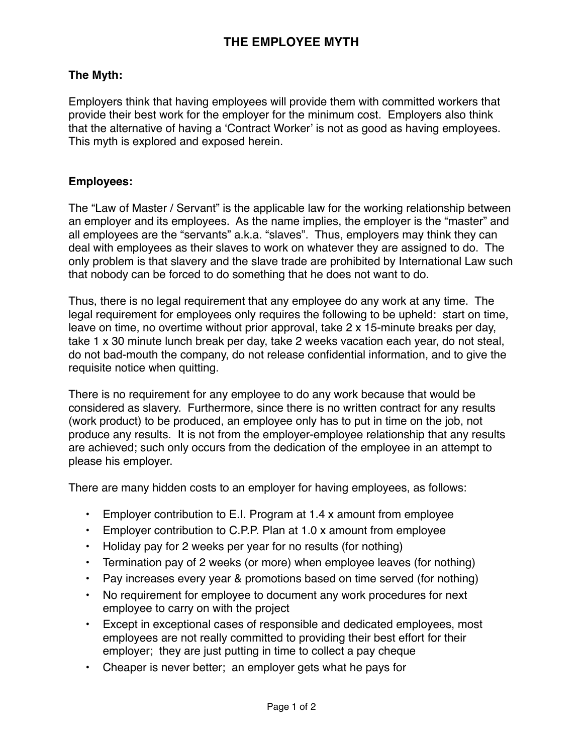## **The Myth:**

Employers think that having employees will provide them with committed workers that provide their best work for the employer for the minimum cost. Employers also think that the alternative of having a ʻContract Worker' is not as good as having employees. This myth is explored and exposed herein.

## **Employees:**

The "Law of Master / Servant" is the applicable law for the working relationship between an employer and its employees. As the name implies, the employer is the "master" and all employees are the "servants" a.k.a. "slaves". Thus, employers may think they can deal with employees as their slaves to work on whatever they are assigned to do. The only problem is that slavery and the slave trade are prohibited by International Law such that nobody can be forced to do something that he does not want to do.

Thus, there is no legal requirement that any employee do any work at any time. The legal requirement for employees only requires the following to be upheld: start on time, leave on time, no overtime without prior approval, take 2 x 15-minute breaks per day, take 1 x 30 minute lunch break per day, take 2 weeks vacation each year, do not steal, do not bad-mouth the company, do not release confidential information, and to give the requisite notice when quitting.

There is no requirement for any employee to do any work because that would be considered as slavery. Furthermore, since there is no written contract for any results (work product) to be produced, an employee only has to put in time on the job, not produce any results. It is not from the employer-employee relationship that any results are achieved; such only occurs from the dedication of the employee in an attempt to please his employer.

There are many hidden costs to an employer for having employees, as follows:

- Employer contribution to E.I. Program at 1.4 x amount from employee
- Employer contribution to C.P.P. Plan at 1.0 x amount from employee
- Holiday pay for 2 weeks per year for no results (for nothing)
- Termination pay of 2 weeks (or more) when employee leaves (for nothing)
- Pay increases every year & promotions based on time served (for nothing)
- No requirement for employee to document any work procedures for next employee to carry on with the project
- Except in exceptional cases of responsible and dedicated employees, most employees are not really committed to providing their best effort for their employer; they are just putting in time to collect a pay cheque
- Cheaper is never better; an employer gets what he pays for